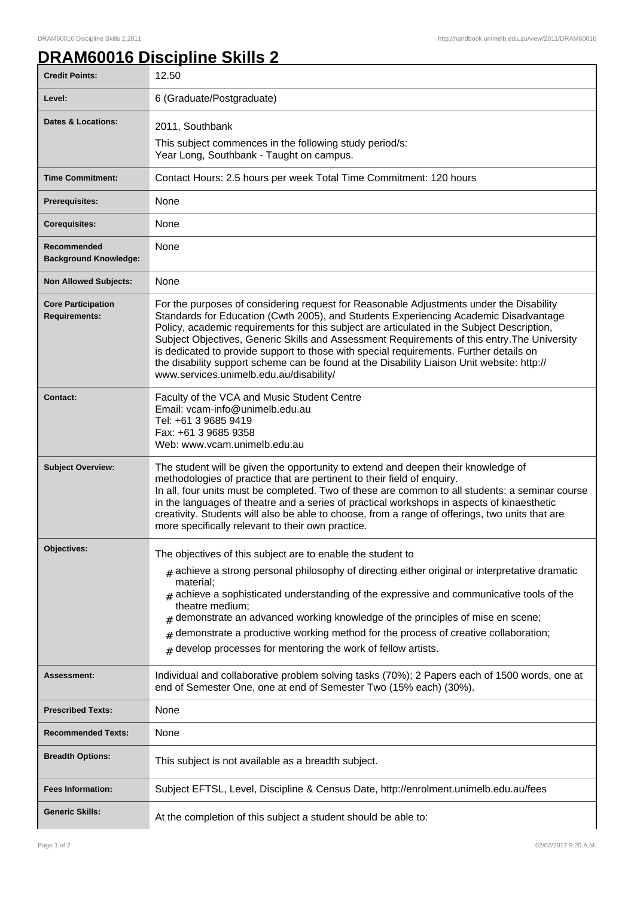1

## **DRAM60016 Discipline Skills 2**

| <b>Credit Points:</b>                             | 12.50                                                                                                                                                                                                                                                                                                                                                                                                                                                                                                                                                                                                            |
|---------------------------------------------------|------------------------------------------------------------------------------------------------------------------------------------------------------------------------------------------------------------------------------------------------------------------------------------------------------------------------------------------------------------------------------------------------------------------------------------------------------------------------------------------------------------------------------------------------------------------------------------------------------------------|
| Level:                                            | 6 (Graduate/Postgraduate)                                                                                                                                                                                                                                                                                                                                                                                                                                                                                                                                                                                        |
| <b>Dates &amp; Locations:</b>                     | 2011, Southbank<br>This subject commences in the following study period/s:<br>Year Long, Southbank - Taught on campus.                                                                                                                                                                                                                                                                                                                                                                                                                                                                                           |
| <b>Time Commitment:</b>                           | Contact Hours: 2.5 hours per week Total Time Commitment: 120 hours                                                                                                                                                                                                                                                                                                                                                                                                                                                                                                                                               |
| <b>Prerequisites:</b>                             | None                                                                                                                                                                                                                                                                                                                                                                                                                                                                                                                                                                                                             |
| <b>Corequisites:</b>                              | None                                                                                                                                                                                                                                                                                                                                                                                                                                                                                                                                                                                                             |
| Recommended<br><b>Background Knowledge:</b>       | None                                                                                                                                                                                                                                                                                                                                                                                                                                                                                                                                                                                                             |
| <b>Non Allowed Subjects:</b>                      | None                                                                                                                                                                                                                                                                                                                                                                                                                                                                                                                                                                                                             |
| <b>Core Participation</b><br><b>Requirements:</b> | For the purposes of considering request for Reasonable Adjustments under the Disability<br>Standards for Education (Cwth 2005), and Students Experiencing Academic Disadvantage<br>Policy, academic requirements for this subject are articulated in the Subject Description,<br>Subject Objectives, Generic Skills and Assessment Requirements of this entry. The University<br>is dedicated to provide support to those with special requirements. Further details on<br>the disability support scheme can be found at the Disability Liaison Unit website: http://<br>www.services.unimelb.edu.au/disability/ |
| <b>Contact:</b>                                   | Faculty of the VCA and Music Student Centre<br>Email: vcam-info@unimelb.edu.au<br>Tel: +61 3 9685 9419<br>Fax: +61 3 9685 9358<br>Web: www.vcam.unimelb.edu.au                                                                                                                                                                                                                                                                                                                                                                                                                                                   |
| <b>Subject Overview:</b>                          | The student will be given the opportunity to extend and deepen their knowledge of<br>methodologies of practice that are pertinent to their field of enquiry.<br>In all, four units must be completed. Two of these are common to all students: a seminar course<br>in the languages of theatre and a series of practical workshops in aspects of kinaesthetic<br>creativity. Students will also be able to choose, from a range of offerings, two units that are<br>more specifically relevant to their own practice.                                                                                            |
| <b>Objectives:</b>                                | The objectives of this subject are to enable the student to<br>$#$ achieve a strong personal philosophy of directing either original or interpretative dramatic<br>material;<br>$_{\#}$ achieve a sophisticated understanding of the expressive and communicative tools of the<br>theatre medium;<br>demonstrate an advanced working knowledge of the principles of mise en scene;<br>#<br>demonstrate a productive working method for the process of creative collaboration;<br>#<br>$#$ develop processes for mentoring the work of fellow artists.                                                            |
| Assessment:                                       | Individual and collaborative problem solving tasks (70%); 2 Papers each of 1500 words, one at<br>end of Semester One, one at end of Semester Two (15% each) (30%).                                                                                                                                                                                                                                                                                                                                                                                                                                               |
| <b>Prescribed Texts:</b>                          | None                                                                                                                                                                                                                                                                                                                                                                                                                                                                                                                                                                                                             |
| <b>Recommended Texts:</b>                         | None                                                                                                                                                                                                                                                                                                                                                                                                                                                                                                                                                                                                             |
| <b>Breadth Options:</b>                           | This subject is not available as a breadth subject.                                                                                                                                                                                                                                                                                                                                                                                                                                                                                                                                                              |
| <b>Fees Information:</b>                          | Subject EFTSL, Level, Discipline & Census Date, http://enrolment.unimelb.edu.au/fees                                                                                                                                                                                                                                                                                                                                                                                                                                                                                                                             |
| <b>Generic Skills:</b>                            | At the completion of this subject a student should be able to:                                                                                                                                                                                                                                                                                                                                                                                                                                                                                                                                                   |